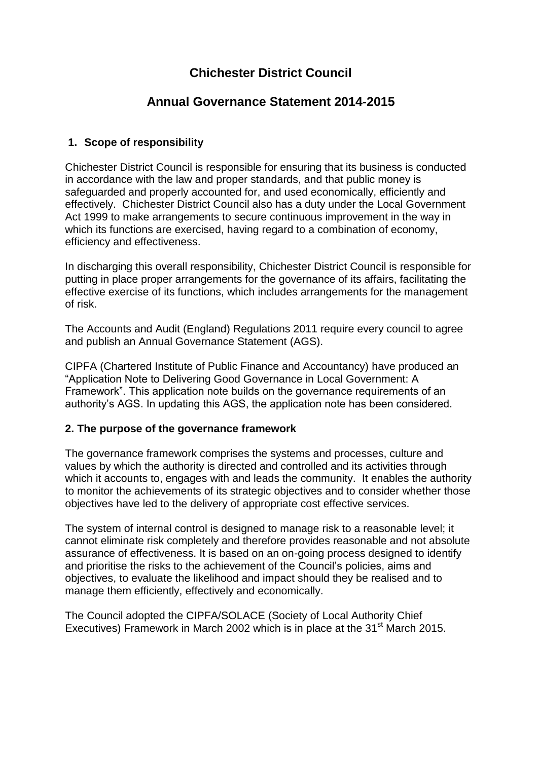# **Chichester District Council**

## **Annual Governance Statement 2014-2015**

## **1. Scope of responsibility**

Chichester District Council is responsible for ensuring that its business is conducted in accordance with the law and proper standards, and that public money is safeguarded and properly accounted for, and used economically, efficiently and effectively. Chichester District Council also has a duty under the Local Government Act 1999 to make arrangements to secure continuous improvement in the way in which its functions are exercised, having regard to a combination of economy, efficiency and effectiveness.

In discharging this overall responsibility, Chichester District Council is responsible for putting in place proper arrangements for the governance of its affairs, facilitating the effective exercise of its functions, which includes arrangements for the management of risk.

The Accounts and Audit (England) Regulations 2011 require every council to agree and publish an Annual Governance Statement (AGS).

CIPFA (Chartered Institute of Public Finance and Accountancy) have produced an "Application Note to Delivering Good Governance in Local Government: A Framework". This application note builds on the governance requirements of an authority's AGS. In updating this AGS, the application note has been considered.

#### **2. The purpose of the governance framework**

The governance framework comprises the systems and processes, culture and values by which the authority is directed and controlled and its activities through which it accounts to, engages with and leads the community. It enables the authority to monitor the achievements of its strategic objectives and to consider whether those objectives have led to the delivery of appropriate cost effective services.

The system of internal control is designed to manage risk to a reasonable level; it cannot eliminate risk completely and therefore provides reasonable and not absolute assurance of effectiveness. It is based on an on-going process designed to identify and prioritise the risks to the achievement of the Council's policies, aims and objectives, to evaluate the likelihood and impact should they be realised and to manage them efficiently, effectively and economically.

The Council adopted the CIPFA/SOLACE (Society of Local Authority Chief Executives) Framework in March 2002 which is in place at the 31<sup>st</sup> March 2015.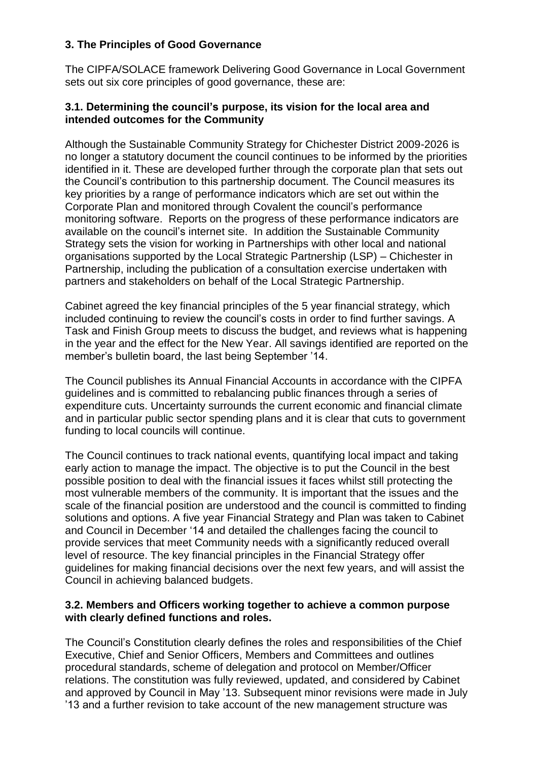## **3. The Principles of Good Governance**

The CIPFA/SOLACE framework Delivering Good Governance in Local Government sets out six core principles of good governance, these are:

#### **3.1. Determining the council's purpose, its vision for the local area and intended outcomes for the Community**

Although the Sustainable Community Strategy for Chichester District 2009-2026 is no longer a statutory document the council continues to be informed by the priorities identified in it. These are developed further through the corporate plan that sets out the Council's contribution to this partnership document. The Council measures its key priorities by a range of performance indicators which are set out within the Corporate Plan and monitored through Covalent the council's performance monitoring software. Reports on the progress of these performance indicators are available on the council's internet site. In addition the Sustainable Community Strategy sets the vision for working in Partnerships with other local and national organisations supported by the Local Strategic Partnership (LSP) – Chichester in Partnership, including the publication of a consultation exercise undertaken with partners and stakeholders on behalf of the Local Strategic Partnership.

Cabinet agreed the key financial principles of the 5 year financial strategy, which included continuing to review the council's costs in order to find further savings. A Task and Finish Group meets to discuss the budget, and reviews what is happening in the year and the effect for the New Year. All savings identified are reported on the member's bulletin board, the last being September '14.

The Council publishes its Annual Financial Accounts in accordance with the CIPFA guidelines and is committed to rebalancing public finances through a series of expenditure cuts. Uncertainty surrounds the current economic and financial climate and in particular public sector spending plans and it is clear that cuts to government funding to local councils will continue.

The Council continues to track national events, quantifying local impact and taking early action to manage the impact. The objective is to put the Council in the best possible position to deal with the financial issues it faces whilst still protecting the most vulnerable members of the community. It is important that the issues and the scale of the financial position are understood and the council is committed to finding solutions and options. A five year Financial Strategy and Plan was taken to Cabinet and Council in December '14 and detailed the challenges facing the council to provide services that meet Community needs with a significantly reduced overall level of resource. The key financial principles in the Financial Strategy offer guidelines for making financial decisions over the next few years, and will assist the Council in achieving balanced budgets.

#### **3.2. Members and Officers working together to achieve a common purpose with clearly defined functions and roles.**

The Council's Constitution clearly defines the roles and responsibilities of the Chief Executive, Chief and Senior Officers, Members and Committees and outlines procedural standards, scheme of delegation and protocol on Member/Officer relations. The constitution was fully reviewed, updated, and considered by Cabinet and approved by Council in May '13. Subsequent minor revisions were made in July '13 and a further revision to take account of the new management structure was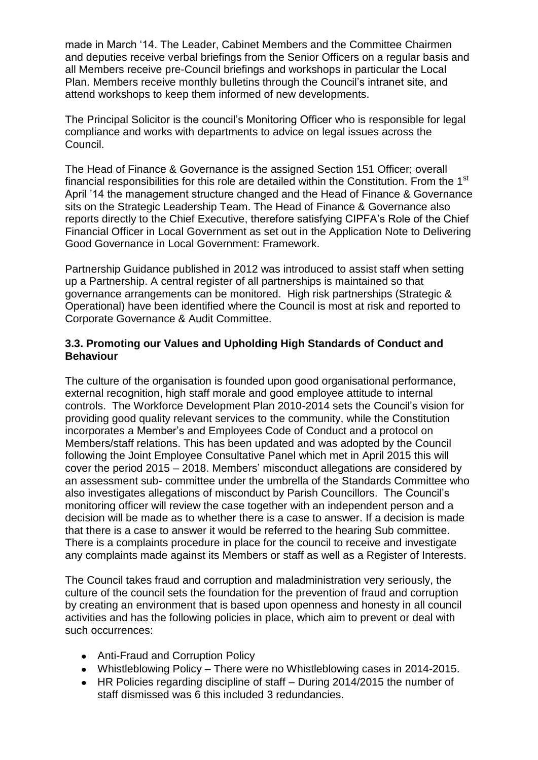made in March '14. The Leader, Cabinet Members and the Committee Chairmen and deputies receive verbal briefings from the Senior Officers on a regular basis and all Members receive pre-Council briefings and workshops in particular the Local Plan. Members receive monthly bulletins through the Council's intranet site, and attend workshops to keep them informed of new developments.

The Principal Solicitor is the council's Monitoring Officer who is responsible for legal compliance and works with departments to advice on legal issues across the Council.

The Head of Finance & Governance is the assigned Section 151 Officer; overall financial responsibilities for this role are detailed within the Constitution. From the 1<sup>st</sup> April '14 the management structure changed and the Head of Finance & Governance sits on the Strategic Leadership Team. The Head of Finance & Governance also reports directly to the Chief Executive, therefore satisfying CIPFA's Role of the Chief Financial Officer in Local Government as set out in the Application Note to Delivering Good Governance in Local Government: Framework.

Partnership Guidance published in 2012 was introduced to assist staff when setting up a Partnership. A central register of all partnerships is maintained so that governance arrangements can be monitored. High risk partnerships (Strategic & Operational) have been identified where the Council is most at risk and reported to Corporate Governance & Audit Committee.

## **3.3. Promoting our Values and Upholding High Standards of Conduct and Behaviour**

The culture of the organisation is founded upon good organisational performance, external recognition, high staff morale and good employee attitude to internal controls. The Workforce Development Plan 2010-2014 sets the Council's vision for providing good quality relevant services to the community, while the Constitution incorporates a Member's and Employees Code of Conduct and a protocol on Members/staff relations. This has been updated and was adopted by the Council following the Joint Employee Consultative Panel which met in April 2015 this will cover the period 2015 – 2018. Members' misconduct allegations are considered by an assessment sub- committee under the umbrella of the Standards Committee who also investigates allegations of misconduct by Parish Councillors. The Council's monitoring officer will review the case together with an independent person and a decision will be made as to whether there is a case to answer. If a decision is made that there is a case to answer it would be referred to the hearing Sub committee. There is a complaints procedure in place for the council to receive and investigate any complaints made against its Members or staff as well as a Register of Interests.

The Council takes fraud and corruption and maladministration very seriously, the culture of the council sets the foundation for the prevention of fraud and corruption by creating an environment that is based upon openness and honesty in all council activities and has the following policies in place, which aim to prevent or deal with such occurrences:

- Anti-Fraud and Corruption Policy
- Whistleblowing Policy There were no Whistleblowing cases in 2014-2015.
- HR Policies regarding discipline of staff During 2014/2015 the number of staff dismissed was 6 this included 3 redundancies.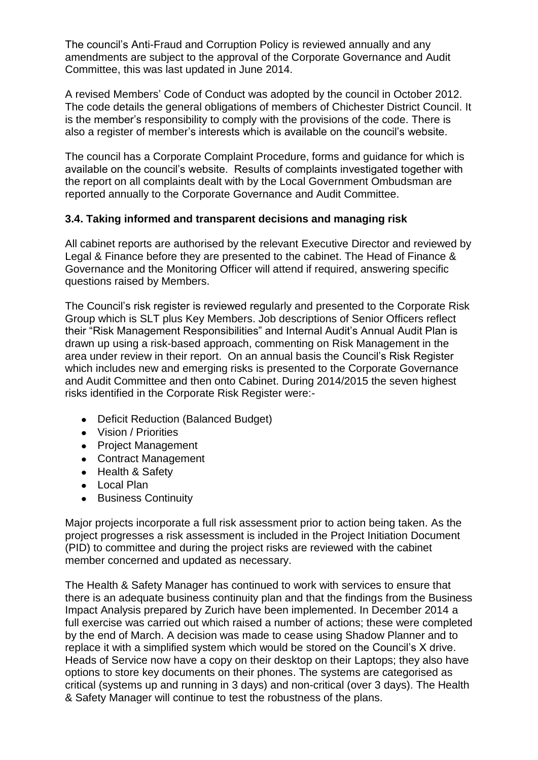The council's Anti-Fraud and Corruption Policy is reviewed annually and any amendments are subject to the approval of the Corporate Governance and Audit Committee, this was last updated in June 2014.

A revised Members' Code of Conduct was adopted by the council in October 2012. The code details the general obligations of members of Chichester District Council. It is the member's responsibility to comply with the provisions of the code. There is also a register of member's interests which is available on the council's website.

The council has a Corporate Complaint Procedure, forms and guidance for which is available on the council's website. Results of complaints investigated together with the report on all complaints dealt with by the Local Government Ombudsman are reported annually to the Corporate Governance and Audit Committee.

## **3.4. Taking informed and transparent decisions and managing risk**

All cabinet reports are authorised by the relevant Executive Director and reviewed by Legal & Finance before they are presented to the cabinet. The Head of Finance & Governance and the Monitoring Officer will attend if required, answering specific questions raised by Members.

The Council's risk register is reviewed regularly and presented to the Corporate Risk Group which is SLT plus Key Members. Job descriptions of Senior Officers reflect their "Risk Management Responsibilities" and Internal Audit's Annual Audit Plan is drawn up using a risk-based approach, commenting on Risk Management in the area under review in their report. On an annual basis the Council's Risk Register which includes new and emerging risks is presented to the Corporate Governance and Audit Committee and then onto Cabinet. During 2014/2015 the seven highest risks identified in the Corporate Risk Register were:-

- Deficit Reduction (Balanced Budget)
- Vision / Priorities
- Project Management
- Contract Management
- Health & Safety
- Local Plan
- **•** Business Continuity

Major projects incorporate a full risk assessment prior to action being taken. As the project progresses a risk assessment is included in the Project Initiation Document (PID) to committee and during the project risks are reviewed with the cabinet member concerned and updated as necessary.

The Health & Safety Manager has continued to work with services to ensure that there is an adequate business continuity plan and that the findings from the Business Impact Analysis prepared by Zurich have been implemented. In December 2014 a full exercise was carried out which raised a number of actions; these were completed by the end of March. A decision was made to cease using Shadow Planner and to replace it with a simplified system which would be stored on the Council's X drive. Heads of Service now have a copy on their desktop on their Laptops; they also have options to store key documents on their phones. The systems are categorised as critical (systems up and running in 3 days) and non-critical (over 3 days). The Health & Safety Manager will continue to test the robustness of the plans.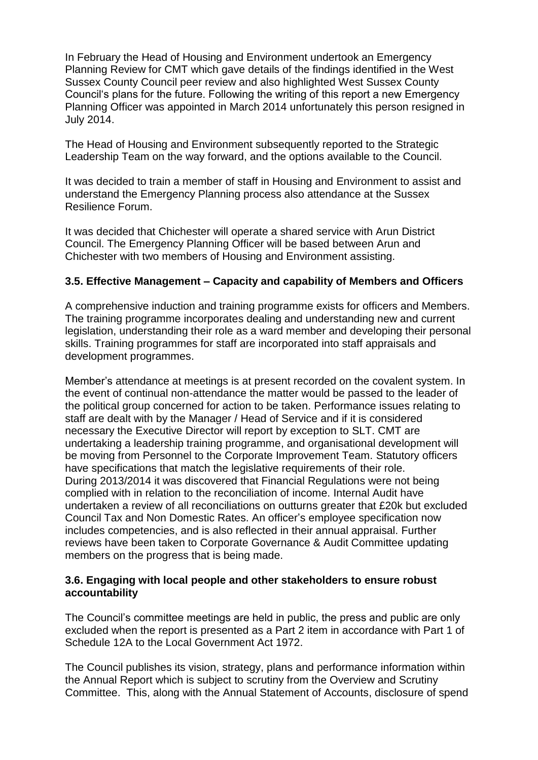In February the Head of Housing and Environment undertook an Emergency Planning Review for CMT which gave details of the findings identified in the West Sussex County Council peer review and also highlighted West Sussex County Council's plans for the future. Following the writing of this report a new Emergency Planning Officer was appointed in March 2014 unfortunately this person resigned in July 2014.

The Head of Housing and Environment subsequently reported to the Strategic Leadership Team on the way forward, and the options available to the Council.

It was decided to train a member of staff in Housing and Environment to assist and understand the Emergency Planning process also attendance at the Sussex Resilience Forum.

It was decided that Chichester will operate a shared service with Arun District Council. The Emergency Planning Officer will be based between Arun and Chichester with two members of Housing and Environment assisting.

## **3.5. Effective Management – Capacity and capability of Members and Officers**

A comprehensive induction and training programme exists for officers and Members. The training programme incorporates dealing and understanding new and current legislation, understanding their role as a ward member and developing their personal skills. Training programmes for staff are incorporated into staff appraisals and development programmes.

Member's attendance at meetings is at present recorded on the covalent system. In the event of continual non-attendance the matter would be passed to the leader of the political group concerned for action to be taken. Performance issues relating to staff are dealt with by the Manager / Head of Service and if it is considered necessary the Executive Director will report by exception to SLT. CMT are undertaking a leadership training programme, and organisational development will be moving from Personnel to the Corporate Improvement Team. Statutory officers have specifications that match the legislative requirements of their role. During 2013/2014 it was discovered that Financial Regulations were not being complied with in relation to the reconciliation of income. Internal Audit have undertaken a review of all reconciliations on outturns greater that £20k but excluded Council Tax and Non Domestic Rates. An officer's employee specification now includes competencies, and is also reflected in their annual appraisal. Further reviews have been taken to Corporate Governance & Audit Committee updating members on the progress that is being made.

#### **3.6. Engaging with local people and other stakeholders to ensure robust accountability**

The Council's committee meetings are held in public, the press and public are only excluded when the report is presented as a Part 2 item in accordance with Part 1 of Schedule 12A to the Local Government Act 1972.

The Council publishes its vision, strategy, plans and performance information within the Annual Report which is subject to scrutiny from the Overview and Scrutiny Committee. This, along with the Annual Statement of Accounts, disclosure of spend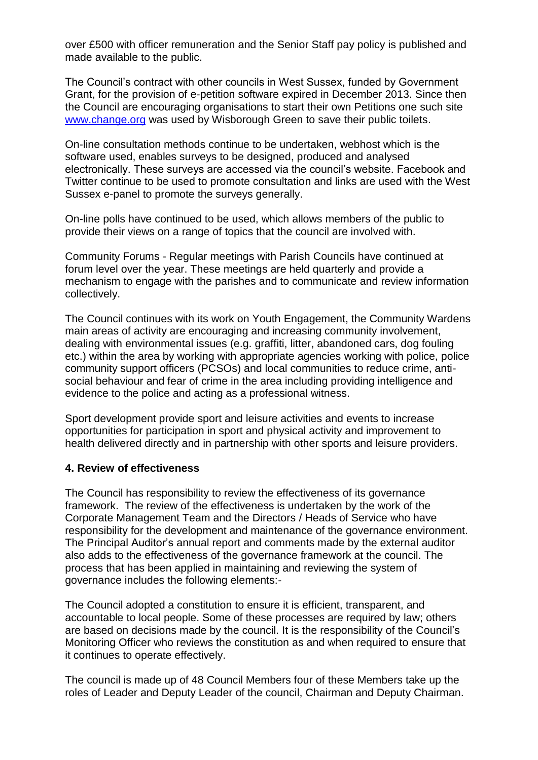over £500 with officer remuneration and the Senior Staff pay policy is published and made available to the public.

The Council's contract with other councils in West Sussex, funded by Government Grant, for the provision of e-petition software expired in December 2013. Since then the Council are encouraging organisations to start their own Petitions one such site [www.change.org](http://www.change.org/) was used by Wisborough Green to save their public toilets.

On-line consultation methods continue to be undertaken, webhost which is the software used, enables surveys to be designed, produced and analysed electronically. These surveys are accessed via the council's website. Facebook and Twitter continue to be used to promote consultation and links are used with the West Sussex e-panel to promote the surveys generally.

On-line polls have continued to be used, which allows members of the public to provide their views on a range of topics that the council are involved with.

Community Forums - Regular meetings with Parish Councils have continued at forum level over the year. These meetings are held quarterly and provide a mechanism to engage with the parishes and to communicate and review information collectively.

The Council continues with its work on Youth Engagement, the Community Wardens main areas of activity are encouraging and increasing community involvement, dealing with environmental issues (e.g. graffiti, litter, abandoned cars, dog fouling etc.) within the area by working with appropriate agencies working with police, police community support officers (PCSOs) and local communities to reduce crime, antisocial behaviour and fear of crime in the area including providing intelligence and evidence to the police and acting as a professional witness.

Sport development provide sport and leisure activities and events to increase opportunities for participation in sport and physical activity and improvement to health delivered directly and in partnership with other sports and leisure providers.

#### **4. Review of effectiveness**

The Council has responsibility to review the effectiveness of its governance framework. The review of the effectiveness is undertaken by the work of the Corporate Management Team and the Directors / Heads of Service who have responsibility for the development and maintenance of the governance environment. The Principal Auditor's annual report and comments made by the external auditor also adds to the effectiveness of the governance framework at the council. The process that has been applied in maintaining and reviewing the system of governance includes the following elements:-

The Council adopted a constitution to ensure it is efficient, transparent, and accountable to local people. Some of these processes are required by law; others are based on decisions made by the council. It is the responsibility of the Council's Monitoring Officer who reviews the constitution as and when required to ensure that it continues to operate effectively.

The council is made up of 48 Council Members four of these Members take up the roles of Leader and Deputy Leader of the council, Chairman and Deputy Chairman.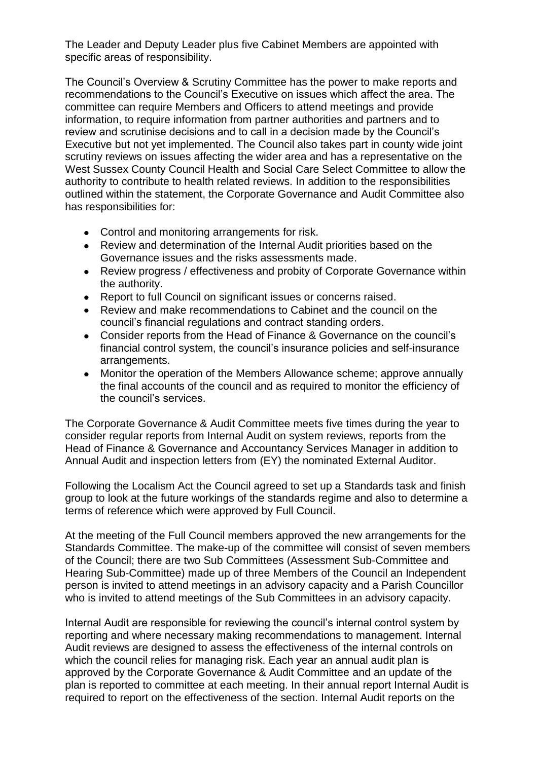The Leader and Deputy Leader plus five Cabinet Members are appointed with specific areas of responsibility.

The Council's Overview & Scrutiny Committee has the power to make reports and recommendations to the Council's Executive on issues which affect the area. The committee can require Members and Officers to attend meetings and provide information, to require information from partner authorities and partners and to review and scrutinise decisions and to call in a decision made by the Council's Executive but not yet implemented. The Council also takes part in county wide joint scrutiny reviews on issues affecting the wider area and has a representative on the West Sussex County Council Health and Social Care Select Committee to allow the authority to contribute to health related reviews. In addition to the responsibilities outlined within the statement, the Corporate Governance and Audit Committee also has responsibilities for:

- Control and monitoring arrangements for risk.
- Review and determination of the Internal Audit priorities based on the Governance issues and the risks assessments made.
- Review progress / effectiveness and probity of Corporate Governance within the authority.
- Report to full Council on significant issues or concerns raised.
- Review and make recommendations to Cabinet and the council on the council's financial regulations and contract standing orders.
- Consider reports from the Head of Finance & Governance on the council's financial control system, the council's insurance policies and self-insurance arrangements.
- Monitor the operation of the Members Allowance scheme; approve annually the final accounts of the council and as required to monitor the efficiency of the council's services.

The Corporate Governance & Audit Committee meets five times during the year to consider regular reports from Internal Audit on system reviews, reports from the Head of Finance & Governance and Accountancy Services Manager in addition to Annual Audit and inspection letters from (EY) the nominated External Auditor.

Following the Localism Act the Council agreed to set up a Standards task and finish group to look at the future workings of the standards regime and also to determine a terms of reference which were approved by Full Council.

At the meeting of the Full Council members approved the new arrangements for the Standards Committee. The make-up of the committee will consist of seven members of the Council; there are two Sub Committees (Assessment Sub-Committee and Hearing Sub-Committee) made up of three Members of the Council an Independent person is invited to attend meetings in an advisory capacity and a Parish Councillor who is invited to attend meetings of the Sub Committees in an advisory capacity.

Internal Audit are responsible for reviewing the council's internal control system by reporting and where necessary making recommendations to management. Internal Audit reviews are designed to assess the effectiveness of the internal controls on which the council relies for managing risk. Each year an annual audit plan is approved by the Corporate Governance & Audit Committee and an update of the plan is reported to committee at each meeting. In their annual report Internal Audit is required to report on the effectiveness of the section. Internal Audit reports on the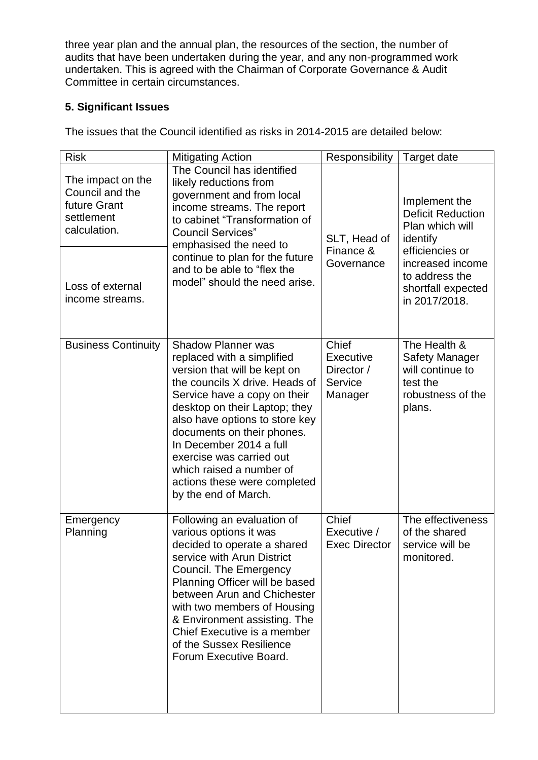three year plan and the annual plan, the resources of the section, the number of audits that have been undertaken during the year, and any non-programmed work undertaken. This is agreed with the Chairman of Corporate Governance & Audit Committee in certain circumstances.

## **5. Significant Issues**

The issues that the Council identified as risks in 2014-2015 are detailed below:

| <b>Risk</b>                                                                                                               | <b>Mitigating Action</b>                                                                                                                                                                                                                                                                                                                                                                              | Responsibility                                         | Target date                                                                                                                                                              |
|---------------------------------------------------------------------------------------------------------------------------|-------------------------------------------------------------------------------------------------------------------------------------------------------------------------------------------------------------------------------------------------------------------------------------------------------------------------------------------------------------------------------------------------------|--------------------------------------------------------|--------------------------------------------------------------------------------------------------------------------------------------------------------------------------|
| The impact on the<br>Council and the<br>future Grant<br>settlement<br>calculation.<br>Loss of external<br>income streams. | The Council has identified<br>likely reductions from<br>government and from local<br>income streams. The report<br>to cabinet "Transformation of<br><b>Council Services"</b><br>emphasised the need to<br>continue to plan for the future<br>and to be able to "flex the<br>model" should the need arise.                                                                                             | SLT, Head of<br>Finance &<br>Governance                | Implement the<br><b>Deficit Reduction</b><br>Plan which will<br>identify<br>efficiencies or<br>increased income<br>to address the<br>shortfall expected<br>in 2017/2018. |
| <b>Business Continuity</b>                                                                                                | <b>Shadow Planner was</b><br>replaced with a simplified<br>version that will be kept on<br>the councils X drive. Heads of<br>Service have a copy on their<br>desktop on their Laptop; they<br>also have options to store key<br>documents on their phones.<br>In December 2014 a full<br>exercise was carried out<br>which raised a number of<br>actions these were completed<br>by the end of March. | Chief<br>Executive<br>Director /<br>Service<br>Manager | The Health &<br><b>Safety Manager</b><br>will continue to<br>test the<br>robustness of the<br>plans.                                                                     |
| Emergency<br>Planning                                                                                                     | Following an evaluation of<br>various options it was<br>decided to operate a shared<br>service with Arun District<br>Council. The Emergency<br>Planning Officer will be based<br>between Arun and Chichester<br>with two members of Housing<br>& Environment assisting. The<br>Chief Executive is a member<br>of the Sussex Resilience<br>Forum Executive Board.                                      | Chief<br>Executive /<br><b>Exec Director</b>           | The effectiveness<br>of the shared<br>service will be<br>monitored.                                                                                                      |